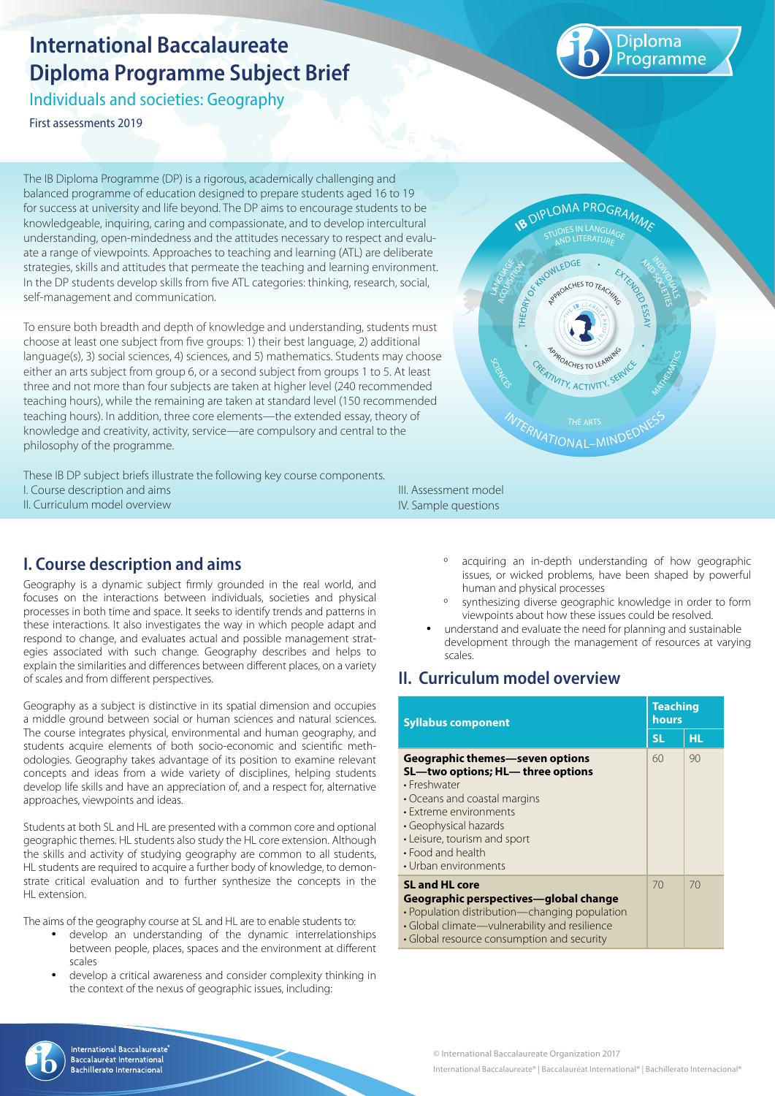# **International Baccalaureate Diploma Programme Subject Brief**

Individuals and societies: Geography

First assessments 2019

Diploma rogramme

The IB Diploma Programme (DP) is a rigorous, academically challenging and balanced programme of education designed to prepare students aged 16 to 19 for success at university and life beyond. The DP aims to encourage students to be knowledgeable, inquiring, caring and compassionate, and to develop intercultural understanding, open-mindedness and the attitudes necessary to respect and evaluate a range of viewpoints. Approaches to teaching and learning (ATL) are deliberate strategies, skills and attitudes that permeate the teaching and learning environment. In the DP students develop skills from five ATL categories: thinking, research, social, self-management and communication.

To ensure both breadth and depth of knowledge and understanding, students must choose at least one subject from five groups: 1) their best language, 2) additional language(s), 3) social sciences, 4) sciences, and 5) mathematics. Students may choose either an arts subject from group 6, or a second subject from groups 1 to 5. At least three and not more than four subjects are taken at higher level (240 recommended teaching hours), while the remaining are taken at standard level (150 recommended teaching hours). In addition, three core elements—the extended essay, theory of knowledge and creativity, activity, service—are compulsory and central to the philosophy of the programme.

These IB DP subject briefs illustrate the following key course components. I. Course description and aims II. Curriculum model overview

# **I. Course description and aims**

Geography is a dynamic subject firmly grounded in the real world, and focuses on the interactions between individuals, societies and physical processes in both time and space. It seeks to identify trends and patterns in these interactions. It also investigates the way in which people adapt and respond to change, and evaluates actual and possible management strategies associated with such change. Geography describes and helps to explain the similarities and differences between different places, on a variety of scales and from different perspectives.

Geography as a subject is distinctive in its spatial dimension and occupies a middle ground between social or human sciences and natural sciences. The course integrates physical, environmental and human geography, and students acquire elements of both socio-economic and scientific methodologies. Geography takes advantage of its position to examine relevant concepts and ideas from a wide variety of disciplines, helping students develop life skills and have an appreciation of, and a respect for, alternative approaches, viewpoints and ideas.

Students at both SL and HL are presented with a common core and optional geographic themes. HL students also study the HL core extension. Although the skills and activity of studying geography are common to all students, HL students are required to acquire a further body of knowledge, to demonstrate critical evaluation and to further synthesize the concepts in the HL extension

The aims of the geography course at SL and HL are to enable students to:

- develop an understanding of the dynamic interrelationships between people, places, spaces and the environment at different scales
- develop a critical awareness and consider complexity thinking in the context of the nexus of geographic issues, including:



III. Assessment model IV. Sample questions

- º acquiring an in-depth understanding of how geographic issues, or wicked problems, have been shaped by powerful human and physical processes
- º synthesizing diverse geographic knowledge in order to form viewpoints about how these issues could be resolved.
- understand and evaluate the need for planning and sustainable development through the management of resources at varying scales.

# **II. Curriculum model overview**

| <b>Syllabus component</b>                                                                                                                                                                                                                            |           | <b>Teaching</b><br>hours |  |
|------------------------------------------------------------------------------------------------------------------------------------------------------------------------------------------------------------------------------------------------------|-----------|--------------------------|--|
|                                                                                                                                                                                                                                                      | <b>SL</b> | HL.                      |  |
| Geographic themes—seven options<br>SL-two options; HL- three options<br>• Freshwater<br>• Oceans and coastal margins<br>• Extreme environments<br>• Geophysical hazards<br>• Leisure, tourism and sport<br>• Food and health<br>• Urban environments | 60        | 90                       |  |
| <b>SL and HL core</b><br>Geographic perspectives—global change<br>• Population distribution-changing population<br>• Global climate—vulnerability and resilience<br>• Global resource consumption and security                                       | 70        | 70                       |  |

© International Baccalaureate Organization 2017



**International Baccalaureate** Baccalauréat International chillerato Internacional